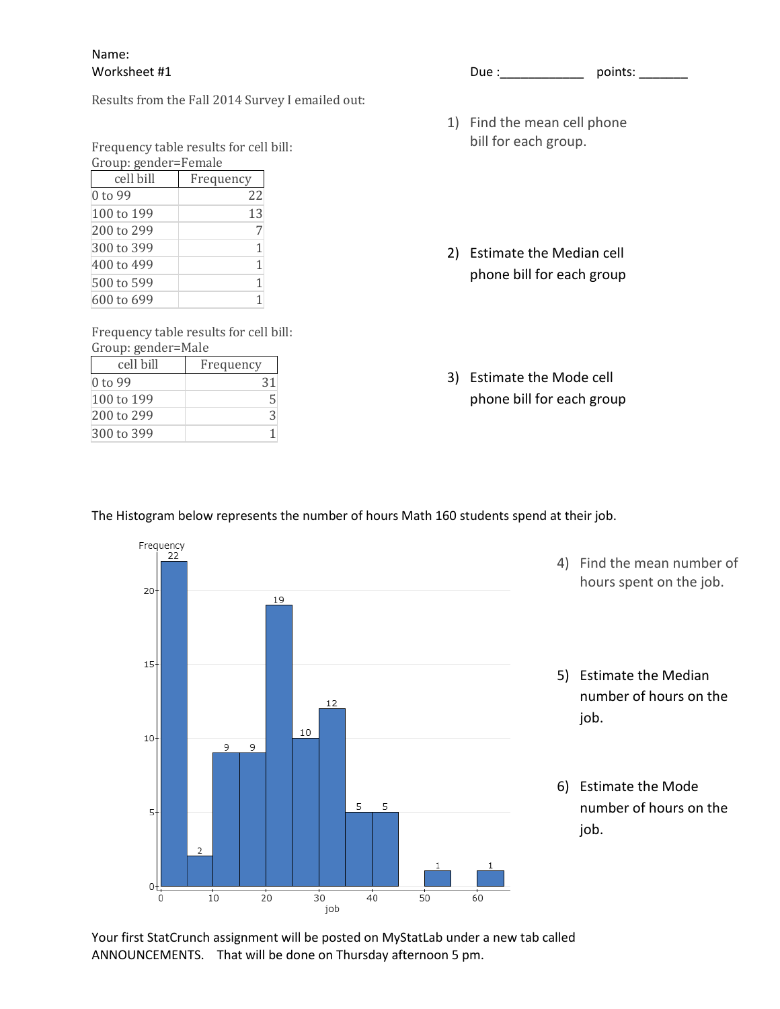## Name:

Results from the Fall 2014 Survey I emailed out:

Frequency table results for cell bill: Group: gender=Female

| $u_1$ up. genuel – Female |           |  |  |
|---------------------------|-----------|--|--|
| cell bill                 | Frequency |  |  |
| 0 to 99                   | 22        |  |  |
| 100 to 199                | 13        |  |  |
| 200 to 299                |           |  |  |
| 300 to 399                |           |  |  |
| 400 to 499                | 1         |  |  |
| 500 to 599                |           |  |  |
| 600 to 699                |           |  |  |

Frequency table results for cell bill: Group: gender=Male

| cell bill  | Frequency |
|------------|-----------|
| 0 to 99    |           |
| 100 to 199 |           |
| 200 to 299 | २         |
| 300 to 399 |           |

Worksheet #1 Due :\_\_\_\_\_\_\_\_\_\_\_\_ points: \_\_\_\_\_\_\_

- 1) Find the mean cell phone bill for each group.
- 2) Estimate the Median cell phone bill for each group
- 3) Estimate the Mode cell phone bill for each group

## The Histogram below represents the number of hours Math 160 students spend at their job.



Your first StatCrunch assignment will be posted on MyStatLab under a new tab called ANNOUNCEMENTS. That will be done on Thursday afternoon 5 pm.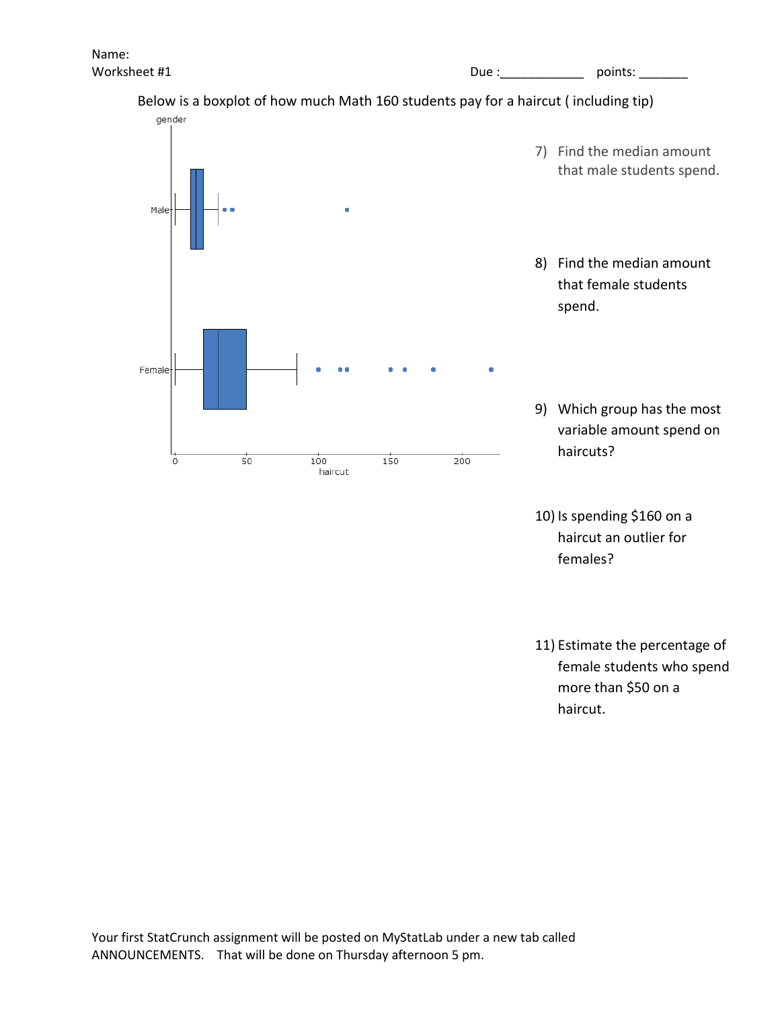Worksheet #1 Due :\_\_\_\_\_\_\_\_\_\_\_\_ points: \_\_\_\_\_\_\_

## Below is a boxplot of how much Math 160 students pay for a haircut ( including tip)



10) Is spending \$160 on a haircut an outlier for females?

11) Estimate the percentage of female students who spend more than \$50 on a haircut.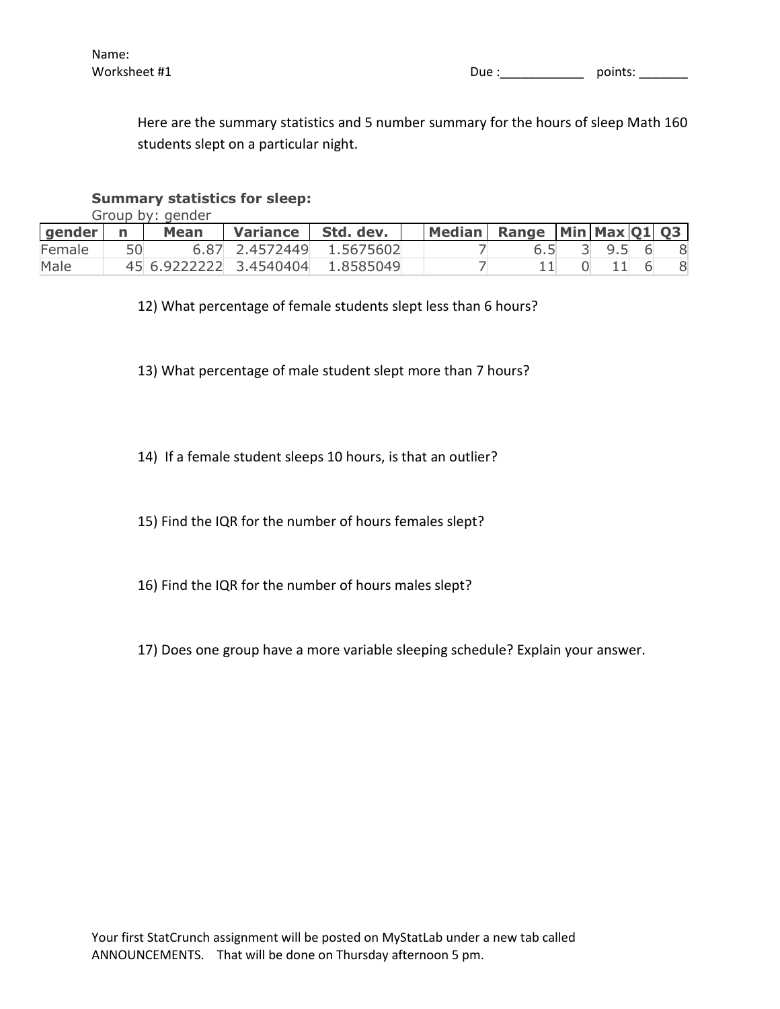Here are the summary statistics and 5 number summary for the hours of sleep Math 160 students slept on a particular night.

## **Summary statistics for sleep:**

Group by: gender

| gender | Mean | Variance               | Std. dev.                |  | Median Range Min Max 01 03 |         |  |
|--------|------|------------------------|--------------------------|--|----------------------------|---------|--|
| Female |      |                        | 6.87 2.4572449 1.5675602 |  |                            | 3 9.5 6 |  |
| Male   |      | 45 6.9222222 3.4540404 | 1.8585049                |  |                            |         |  |

12) What percentage of female students slept less than 6 hours?

13) What percentage of male student slept more than 7 hours?

14) If a female student sleeps 10 hours, is that an outlier?

15) Find the IQR for the number of hours females slept?

- 16) Find the IQR for the number of hours males slept?
- 17) Does one group have a more variable sleeping schedule? Explain your answer.